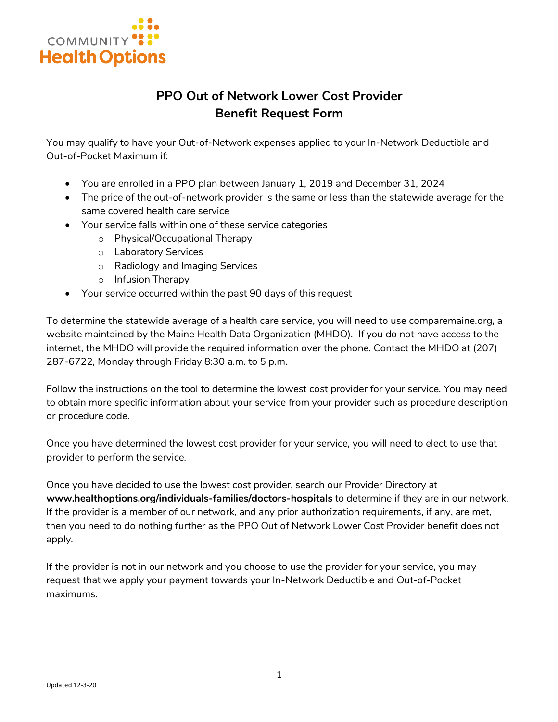

# **PPO Out of Network Lower Cost Provider Benefit Request Form**

You may qualify to have your Out-of-Network expenses applied to your In-Network Deductible and Out-of-Pocket Maximum if:

- You are enrolled in a PPO plan between January 1, 2019 and December 31, 2024
- The price of the out-of-network provider is the same or less than the statewide average for the same covered health care service
- Your service falls within one of these service categories
	- o Physical/Occupational Therapy
	- o Laboratory Services
	- o Radiology and Imaging Services
	- o Infusion Therapy
- Your service occurred within the past 90 days of this request

To determine the statewide average of a health care service, you will need to use comparemaine.org, a website maintained by the Maine Health Data Organization (MHDO). If you do not have access to the internet, the MHDO will provide the required information over the phone. Contact the MHDO at (207) 287-6722, Monday through Friday 8:30 a.m. to 5 p.m.

Follow the instructions on the tool to determine the lowest cost provider for your service. You may need to obtain more specific information about your service from your provider such as procedure description or procedure code.

Once you have determined the lowest cost provider for your service, you will need to elect to use that provider to perform the service.

Once you have decided to use the lowest cost provider, search our Provider Directory at **www.healthoptions.org/individuals-families/doctors-hospitals** to determine if they are in our network. If the provider is a member of our network, and any prior authorization requirements, if any, are met, then you need to do nothing further as the PPO Out of Network Lower Cost Provider benefit does not apply.

If the provider is not in our network and you choose to use the provider for your service, you may request that we apply your payment towards your In-Network Deductible and Out-of-Pocket maximums.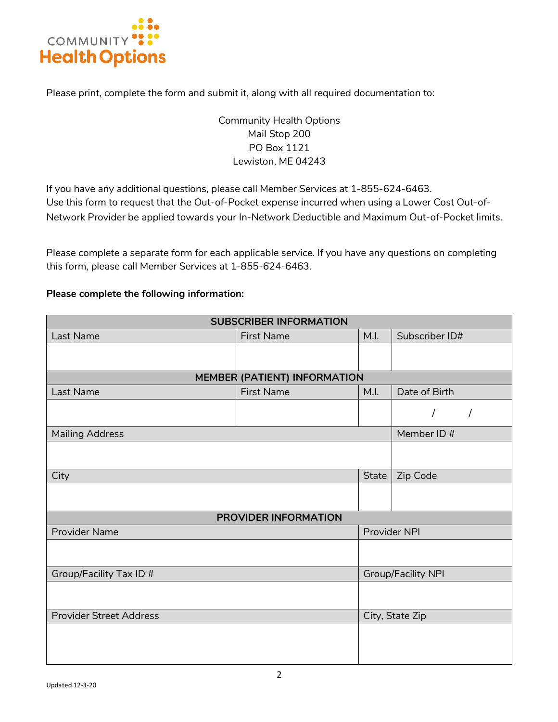

Please print, complete the form and submit it, along with all required documentation to:

## Community Health Options Mail Stop 200 PO Box 1121 Lewiston, ME 04243

If you have any additional questions, please call Member Services at 1-855-624-6463. Use this form to request that the Out-of-Pocket expense incurred when using a Lower Cost Out-of-Network Provider be applied towards your In-Network Deductible and Maximum Out-of-Pocket limits.

Please complete a separate form for each applicable service. If you have any questions on completing this form, please call Member Services at 1-855-624-6463.

#### **Please complete the following information:**

| <b>SUBSCRIBER INFORMATION</b>       |                   |                           |                |  |  |  |  |
|-------------------------------------|-------------------|---------------------------|----------------|--|--|--|--|
| Last Name                           | <b>First Name</b> | M.I.                      | Subscriber ID# |  |  |  |  |
|                                     |                   |                           |                |  |  |  |  |
|                                     |                   |                           |                |  |  |  |  |
| <b>MEMBER (PATIENT) INFORMATION</b> |                   |                           |                |  |  |  |  |
| Last Name                           | <b>First Name</b> | M.I.                      | Date of Birth  |  |  |  |  |
|                                     |                   |                           | T              |  |  |  |  |
| <b>Mailing Address</b>              |                   |                           | Member ID#     |  |  |  |  |
|                                     |                   |                           |                |  |  |  |  |
|                                     |                   |                           |                |  |  |  |  |
| City                                |                   | <b>State</b>              | Zip Code       |  |  |  |  |
|                                     |                   |                           |                |  |  |  |  |
| PROVIDER INFORMATION                |                   |                           |                |  |  |  |  |
| <b>Provider Name</b>                |                   | Provider NPI              |                |  |  |  |  |
|                                     |                   |                           |                |  |  |  |  |
|                                     |                   |                           |                |  |  |  |  |
| Group/Facility Tax ID #             |                   | <b>Group/Facility NPI</b> |                |  |  |  |  |
|                                     |                   |                           |                |  |  |  |  |
| <b>Provider Street Address</b>      |                   | City, State Zip           |                |  |  |  |  |
|                                     |                   |                           |                |  |  |  |  |
|                                     |                   |                           |                |  |  |  |  |
|                                     |                   |                           |                |  |  |  |  |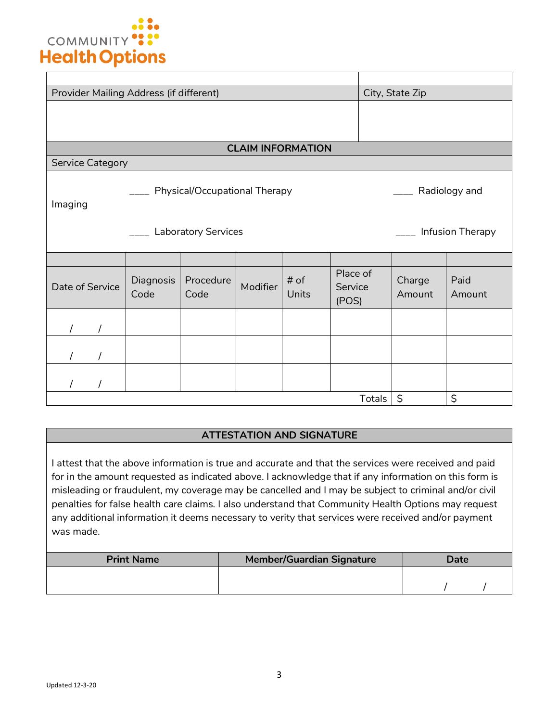

| Provider Mailing Address (if different)    |                                                |                   |          | City, State Zip |                              |                  |                |  |  |
|--------------------------------------------|------------------------------------------------|-------------------|----------|-----------------|------------------------------|------------------|----------------|--|--|
|                                            |                                                |                   |          |                 |                              |                  |                |  |  |
| <b>CLAIM INFORMATION</b>                   |                                                |                   |          |                 |                              |                  |                |  |  |
| <b>Service Category</b>                    |                                                |                   |          |                 |                              |                  |                |  |  |
| Imaging                                    | Physical/Occupational Therapy<br>Radiology and |                   |          |                 |                              |                  |                |  |  |
| Infusion Therapy<br>__ Laboratory Services |                                                |                   |          |                 |                              |                  |                |  |  |
|                                            |                                                |                   |          |                 |                              |                  |                |  |  |
| Date of Service                            | Diagnosis<br>Code                              | Procedure<br>Code | Modifier | $#$ of<br>Units | Place of<br>Service<br>(POS) | Charge<br>Amount | Paid<br>Amount |  |  |
|                                            |                                                |                   |          |                 |                              |                  |                |  |  |
|                                            |                                                |                   |          |                 |                              |                  |                |  |  |
|                                            |                                                |                   |          |                 |                              |                  |                |  |  |
|                                            |                                                |                   |          |                 | Totals                       | \$               | \$             |  |  |

### **ATTESTATION AND SIGNATURE**

I attest that the above information is true and accurate and that the services were received and paid for in the amount requested as indicated above. I acknowledge that if any information on this form is misleading or fraudulent, my coverage may be cancelled and I may be subject to criminal and/or civil penalties for false health care claims. I also understand that Community Health Options may request any additional information it deems necessary to verity that services were received and/or payment was made.

| <b>Print Name</b> | <b>Member/Guardian Signature</b> | Date |  |  |
|-------------------|----------------------------------|------|--|--|
|                   |                                  |      |  |  |